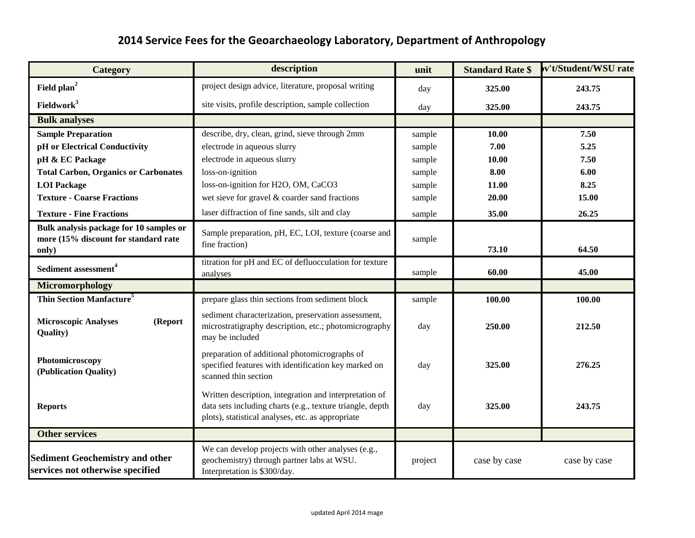## **2014 Service Fees for the Geoarchaeology Laboratory, Department of Anthropology**

| <b>Category</b>                                                                          | description                                                                                                                                                              | unit    | <b>Standard Rate \$</b> | v't/Student/WSU rate |
|------------------------------------------------------------------------------------------|--------------------------------------------------------------------------------------------------------------------------------------------------------------------------|---------|-------------------------|----------------------|
| Field plan <sup>2</sup>                                                                  | project design advice, literature, proposal writing                                                                                                                      | day     | 325.00                  | 243.75               |
| Fieldwork <sup>3</sup>                                                                   | site visits, profile description, sample collection                                                                                                                      | day     | 325.00                  | 243.75               |
| <b>Bulk analyses</b>                                                                     |                                                                                                                                                                          |         |                         |                      |
| <b>Sample Preparation</b>                                                                | describe, dry, clean, grind, sieve through 2mm                                                                                                                           | sample  | 10.00                   | 7.50                 |
| pH or Electrical Conductivity                                                            | electrode in aqueous slurry                                                                                                                                              | sample  | 7.00                    | 5.25                 |
| pH & EC Package                                                                          | electrode in aqueous slurry                                                                                                                                              | sample  | 10.00                   | 7.50                 |
| <b>Total Carbon, Organics or Carbonates</b>                                              | loss-on-ignition                                                                                                                                                         | sample  | 8.00                    | 6.00                 |
| <b>LOI</b> Package                                                                       | loss-on-ignition for H2O, OM, CaCO3                                                                                                                                      | sample  | 11.00                   | 8.25                 |
| <b>Texture - Coarse Fractions</b>                                                        | wet sieve for gravel & coarder sand fractions                                                                                                                            | sample  | 20.00                   | 15.00                |
| <b>Texture - Fine Fractions</b>                                                          | laser diffraction of fine sands, silt and clay                                                                                                                           | sample  | 35.00                   | 26.25                |
| Bulk analysis package for 10 samples or<br>more (15% discount for standard rate<br>only) | Sample preparation, pH, EC, LOI, texture (coarse and<br>fine fraction)                                                                                                   | sample  | 73.10                   | 64.50                |
| Sediment assessment <sup>4</sup>                                                         | titration for pH and EC of defluocculation for texture<br>analyses                                                                                                       | sample  | 60.00                   | 45.00                |
| Micromorphology                                                                          |                                                                                                                                                                          |         |                         |                      |
| Thin Section Manfacture <sup>5</sup>                                                     | prepare glass thin sections from sediment block                                                                                                                          | sample  | 100.00                  | 100.00               |
| <b>Microscopic Analyses</b><br>(Report<br><b>Quality</b> )                               | sediment characterization, preservation assessment,<br>microstratigraphy description, etc.; photomicrography<br>may be included                                          | day     | 250.00                  | 212.50               |
| Photomicroscopy<br>(Publication Quality)                                                 | preparation of additional photomicrographs of<br>specified features with identification key marked on<br>scanned thin section                                            | day     | 325.00                  | 276.25               |
| <b>Reports</b>                                                                           | Written description, integration and interpretation of<br>data sets including charts (e.g., texture triangle, depth<br>plots), statistical analyses, etc. as appropriate | day     | 325.00                  | 243.75               |
| <b>Other services</b>                                                                    |                                                                                                                                                                          |         |                         |                      |
| <b>Sediment Geochemistry and other</b><br>services not otherwise specified               | We can develop projects with other analyses (e.g.,<br>geochemistry) through partner labs at WSU.<br>Interpretation is \$300/day.                                         | project | case by case            | case by case         |